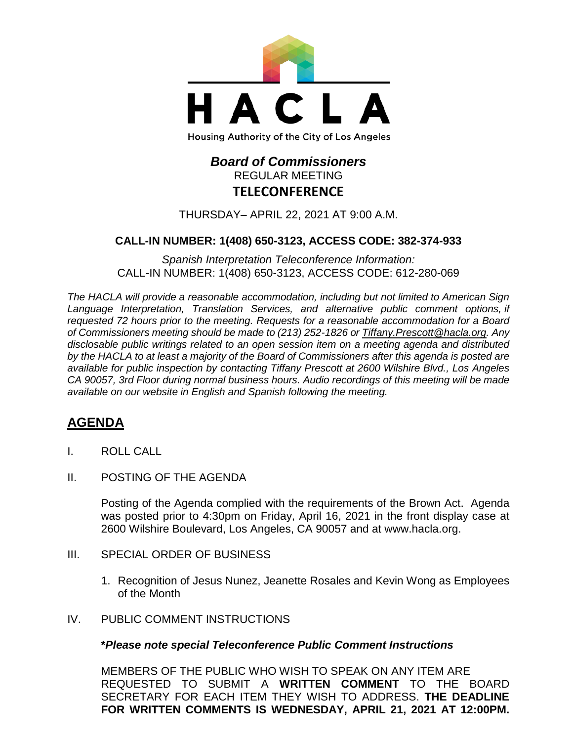

# *Board of Commissioners* REGULAR MEETING **TELECONFERENCE**

THURSDAY– APRIL 22, 2021 AT 9:00 A.M.

### **CALL-IN NUMBER: 1(408) 650-3123, ACCESS CODE: 382-374-933**

*Spanish Interpretation Teleconference Information:* CALL-IN NUMBER: 1(408) 650-3123, ACCESS CODE: 612-280-069

*The HACLA will provide a reasonable accommodation, including but not limited to American Sign Language Interpretation, Translation Services, and alternative public comment options, if requested 72 hours prior to the meeting. Requests for a reasonable accommodation for a Board of Commissioners meeting should be made to (213) 252-1826 or Tiffany.Prescott@hacla.org. Any disclosable public writings related to an open session item on a meeting agenda and distributed by the HACLA to at least a majority of the Board of Commissioners after this agenda is posted are available for public inspection by contacting Tiffany Prescott at 2600 Wilshire Blvd., Los Angeles CA 90057, 3rd Floor during normal business hours. Audio recordings of this meeting will be made available on our website in English and Spanish following the meeting.*

## **AGENDA**

- I. ROLL CALL
- II. POSTING OF THE AGENDA

Posting of the Agenda complied with the requirements of the Brown Act. Agenda was posted prior to 4:30pm on Friday, April 16, 2021 in the front display case at 2600 Wilshire Boulevard, Los Angeles, CA 90057 and at [www.hacla.org.](http://www.hacla.org/)

- III. SPECIAL ORDER OF BUSINESS
	- 1. Recognition of Jesus Nunez, Jeanette Rosales and Kevin Wong as Employees of the Month
- IV. PUBLIC COMMENT INSTRUCTIONS

#### **\****Please note special Teleconference Public Comment Instructions*

MEMBERS OF THE PUBLIC WHO WISH TO SPEAK ON ANY ITEM ARE REQUESTED TO SUBMIT A **WRITTEN COMMENT** TO THE BOARD SECRETARY FOR EACH ITEM THEY WISH TO ADDRESS. **THE DEADLINE FOR WRITTEN COMMENTS IS WEDNESDAY, APRIL 21, 2021 AT 12:00PM.**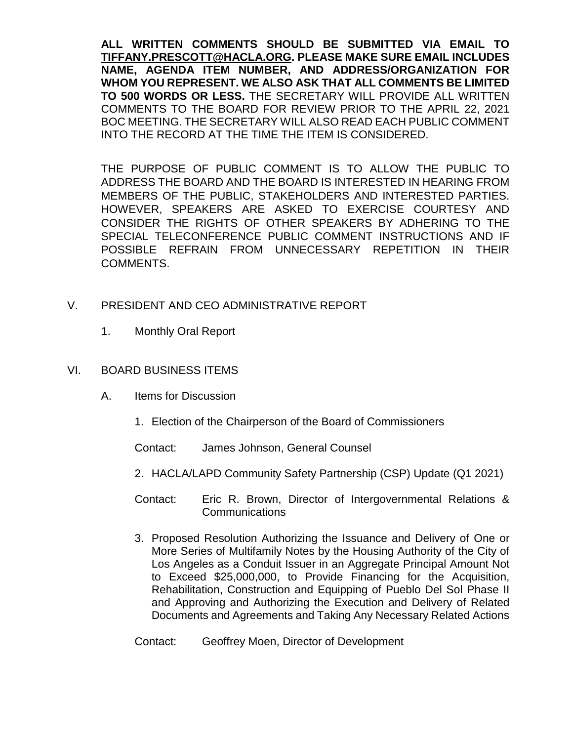**ALL WRITTEN COMMENTS SHOULD BE SUBMITTED VIA EMAIL TO [TIFFANY.PRESCOTT@HACLA.ORG.](mailto:TIFFANY.PRESCOTT@HACLA.ORG) PLEASE MAKE SURE EMAIL INCLUDES NAME, AGENDA ITEM NUMBER, AND ADDRESS/ORGANIZATION FOR WHOM YOU REPRESENT. WE ALSO ASK THAT ALL COMMENTS BE LIMITED TO 500 WORDS OR LESS.** THE SECRETARY WILL PROVIDE ALL WRITTEN COMMENTS TO THE BOARD FOR REVIEW PRIOR TO THE APRIL 22, 2021 BOC MEETING. THE SECRETARY WILL ALSO READ EACH PUBLIC COMMENT INTO THE RECORD AT THE TIME THE ITEM IS CONSIDERED.

THE PURPOSE OF PUBLIC COMMENT IS TO ALLOW THE PUBLIC TO ADDRESS THE BOARD AND THE BOARD IS INTERESTED IN HEARING FROM MEMBERS OF THE PUBLIC, STAKEHOLDERS AND INTERESTED PARTIES. HOWEVER, SPEAKERS ARE ASKED TO EXERCISE COURTESY AND CONSIDER THE RIGHTS OF OTHER SPEAKERS BY ADHERING TO THE SPECIAL TELECONFERENCE PUBLIC COMMENT INSTRUCTIONS AND IF POSSIBLE REFRAIN FROM UNNECESSARY REPETITION IN THEIR COMMENTS.

- V. PRESIDENT AND CEO ADMINISTRATIVE REPORT
	- 1. Monthly Oral Report
- VI. BOARD BUSINESS ITEMS
	- A. Items for Discussion
		- 1. Election of the Chairperson of the Board of Commissioners

Contact: James Johnson, General Counsel

- 2. HACLA/LAPD Community Safety Partnership (CSP) Update (Q1 2021)
- Contact: Eric R. Brown, Director of Intergovernmental Relations & **Communications**
- 3. Proposed Resolution Authorizing the Issuance and Delivery of One or More Series of Multifamily Notes by the Housing Authority of the City of Los Angeles as a Conduit Issuer in an Aggregate Principal Amount Not to Exceed \$25,000,000, to Provide Financing for the Acquisition, Rehabilitation, Construction and Equipping of Pueblo Del Sol Phase II and Approving and Authorizing the Execution and Delivery of Related Documents and Agreements and Taking Any Necessary Related Actions

Contact: Geoffrey Moen, Director of Development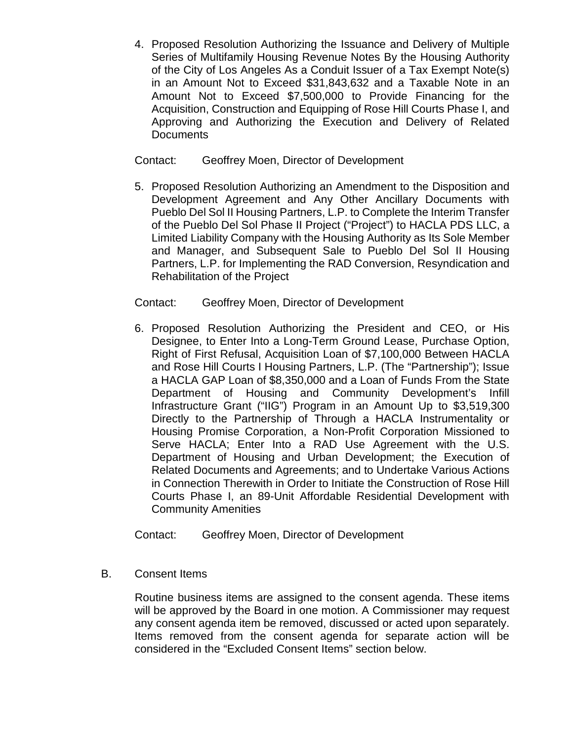4. Proposed Resolution Authorizing the Issuance and Delivery of Multiple Series of Multifamily Housing Revenue Notes By the Housing Authority of the City of Los Angeles As a Conduit Issuer of a Tax Exempt Note(s) in an Amount Not to Exceed \$31,843,632 and a Taxable Note in an Amount Not to Exceed \$7,500,000 to Provide Financing for the Acquisition, Construction and Equipping of Rose Hill Courts Phase I, and Approving and Authorizing the Execution and Delivery of Related **Documents** 

### Contact: Geoffrey Moen, Director of Development

5. Proposed Resolution Authorizing an Amendment to the Disposition and Development Agreement and Any Other Ancillary Documents with Pueblo Del Sol II Housing Partners, L.P. to Complete the Interim Transfer of the Pueblo Del Sol Phase II Project ("Project") to HACLA PDS LLC, a Limited Liability Company with the Housing Authority as Its Sole Member and Manager, and Subsequent Sale to Pueblo Del Sol II Housing Partners, L.P. for Implementing the RAD Conversion, Resyndication and Rehabilitation of the Project

### Contact: Geoffrey Moen, Director of Development

6. Proposed Resolution Authorizing the President and CEO, or His Designee, to Enter Into a Long-Term Ground Lease, Purchase Option, Right of First Refusal, Acquisition Loan of \$7,100,000 Between HACLA and Rose Hill Courts I Housing Partners, L.P. (The "Partnership"); Issue a HACLA GAP Loan of \$8,350,000 and a Loan of Funds From the State Department of Housing and Community Development's Infill Infrastructure Grant ("IIG") Program in an Amount Up to \$3,519,300 Directly to the Partnership of Through a HACLA Instrumentality or Housing Promise Corporation, a Non-Profit Corporation Missioned to Serve HACLA; Enter Into a RAD Use Agreement with the U.S. Department of Housing and Urban Development; the Execution of Related Documents and Agreements; and to Undertake Various Actions in Connection Therewith in Order to Initiate the Construction of Rose Hill Courts Phase I, an 89-Unit Affordable Residential Development with Community Amenities

Contact: Geoffrey Moen, Director of Development

B. Consent Items

Routine business items are assigned to the consent agenda. These items will be approved by the Board in one motion. A Commissioner may request any consent agenda item be removed, discussed or acted upon separately. Items removed from the consent agenda for separate action will be considered in the "Excluded Consent Items" section below.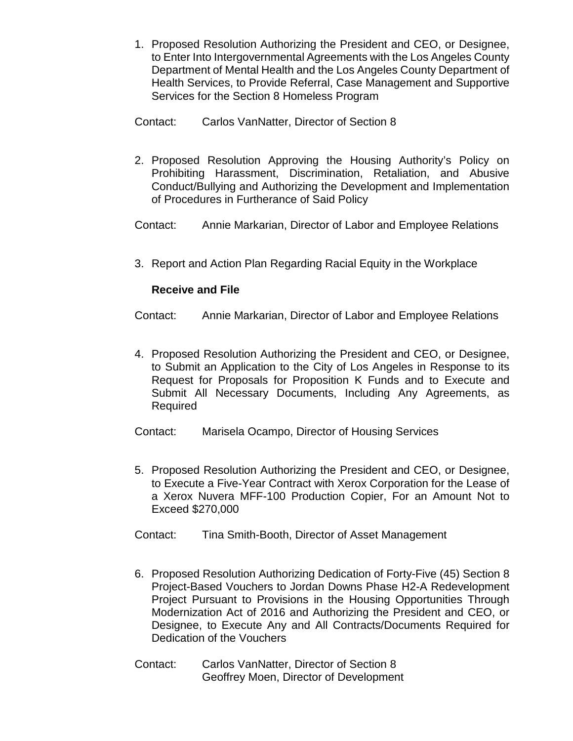- 1. Proposed Resolution Authorizing the President and CEO, or Designee, to Enter Into Intergovernmental Agreements with the Los Angeles County Department of Mental Health and the Los Angeles County Department of Health Services, to Provide Referral, Case Management and Supportive Services for the Section 8 Homeless Program
- Contact: Carlos VanNatter, Director of Section 8
- 2. Proposed Resolution Approving the Housing Authority's Policy on Prohibiting Harassment, Discrimination, Retaliation, and Abusive Conduct/Bullying and Authorizing the Development and Implementation of Procedures in Furtherance of Said Policy

Contact: Annie Markarian, Director of Labor and Employee Relations

3. Report and Action Plan Regarding Racial Equity in the Workplace

### **Receive and File**

Contact: Annie Markarian, Director of Labor and Employee Relations

4. Proposed Resolution Authorizing the President and CEO, or Designee, to Submit an Application to the City of Los Angeles in Response to its Request for Proposals for Proposition K Funds and to Execute and Submit All Necessary Documents, Including Any Agreements, as Required

Contact: Marisela Ocampo, Director of Housing Services

- 5. Proposed Resolution Authorizing the President and CEO, or Designee, to Execute a Five-Year Contract with Xerox Corporation for the Lease of a Xerox Nuvera MFF-100 Production Copier, For an Amount Not to Exceed \$270,000
- Contact: Tina Smith-Booth, Director of Asset Management
- 6. Proposed Resolution Authorizing Dedication of Forty-Five (45) Section 8 Project-Based Vouchers to Jordan Downs Phase H2-A Redevelopment Project Pursuant to Provisions in the Housing Opportunities Through Modernization Act of 2016 and Authorizing the President and CEO, or Designee, to Execute Any and All Contracts/Documents Required for Dedication of the Vouchers
- Contact: Carlos VanNatter, Director of Section 8 Geoffrey Moen, Director of Development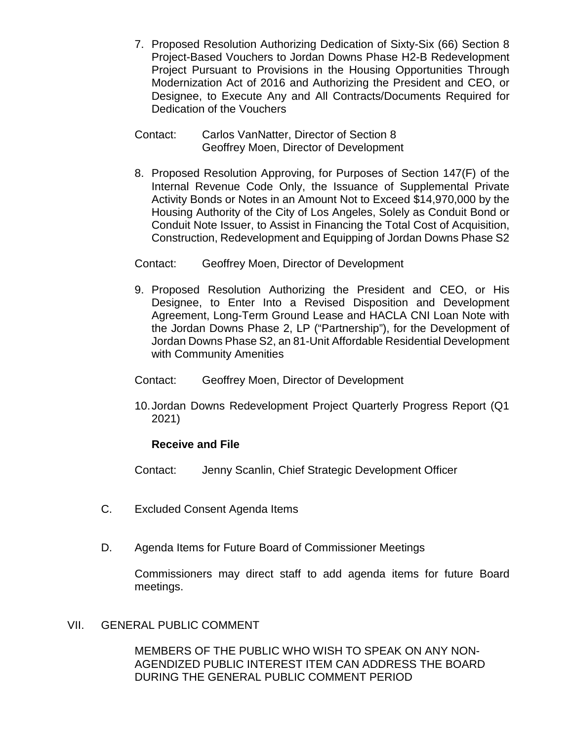- 7. Proposed Resolution Authorizing Dedication of Sixty-Six (66) Section 8 Project-Based Vouchers to Jordan Downs Phase H2-B Redevelopment Project Pursuant to Provisions in the Housing Opportunities Through Modernization Act of 2016 and Authorizing the President and CEO, or Designee, to Execute Any and All Contracts/Documents Required for Dedication of the Vouchers
- Contact: Carlos VanNatter, Director of Section 8 Geoffrey Moen, Director of Development
- 8. Proposed Resolution Approving, for Purposes of Section 147(F) of the Internal Revenue Code Only, the Issuance of Supplemental Private Activity Bonds or Notes in an Amount Not to Exceed \$14,970,000 by the Housing Authority of the City of Los Angeles, Solely as Conduit Bond or Conduit Note Issuer, to Assist in Financing the Total Cost of Acquisition, Construction, Redevelopment and Equipping of Jordan Downs Phase S2
- Contact: Geoffrey Moen, Director of Development
- 9. Proposed Resolution Authorizing the President and CEO, or His Designee, to Enter Into a Revised Disposition and Development Agreement, Long-Term Ground Lease and HACLA CNI Loan Note with the Jordan Downs Phase 2, LP ("Partnership"), for the Development of Jordan Downs Phase S2, an 81-Unit Affordable Residential Development with Community Amenities
- Contact: Geoffrey Moen, Director of Development
- 10.Jordan Downs Redevelopment Project Quarterly Progress Report (Q1 2021)

#### **Receive and File**

Contact: Jenny Scanlin, Chief Strategic Development Officer

- C. Excluded Consent Agenda Items
- D. Agenda Items for Future Board of Commissioner Meetings

Commissioners may direct staff to add agenda items for future Board meetings.

#### VII. GENERAL PUBLIC COMMENT

MEMBERS OF THE PUBLIC WHO WISH TO SPEAK ON ANY NON-AGENDIZED PUBLIC INTEREST ITEM CAN ADDRESS THE BOARD DURING THE GENERAL PUBLIC COMMENT PERIOD